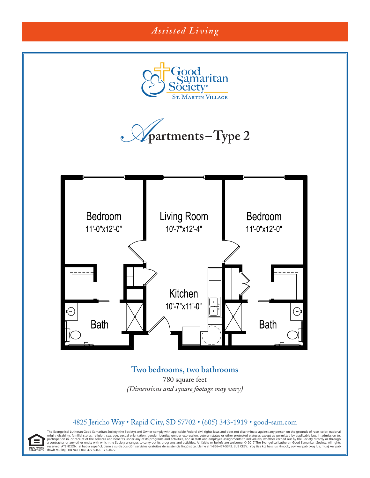

## **Two bedrooms, two bathrooms**

780 square feet *(Dimensions and square footage may vary)*

## 4825 Jericho Way • Rapid City, SD 57702 • (605) 343-1919 • good-sam.com

The Evangelical Lutheran Good Samaritan Society (the Society) and Owner comply with applicable Federal civil rights laws and does not discriminate against any person on the grounds of race, color, national origin, disability, familial status, religion, sex, age, sexual orientation, gender dentity, gender expression, veteran status or other protected statuses except as permitted by applicable law, in admission to, or receipt